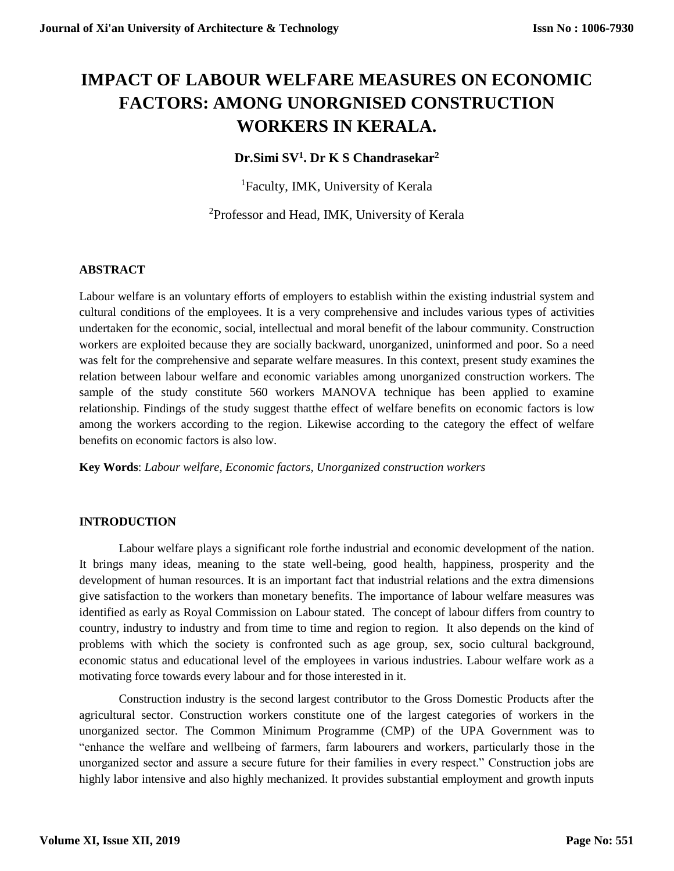# **IMPACT OF LABOUR WELFARE MEASURES ON ECONOMIC FACTORS: AMONG UNORGNISED CONSTRUCTION WORKERS IN KERALA.**

## **Dr.Simi SV<sup>1</sup> . Dr K S Chandrasekar<sup>2</sup>**

<sup>1</sup>Faculty, IMK, University of Kerala

<sup>2</sup>Professor and Head, IMK, University of Kerala

### **ABSTRACT**

Labour welfare is an voluntary efforts of employers to establish within the existing industrial system and cultural conditions of the employees. It is a very comprehensive and includes various types of activities undertaken for the economic, social, intellectual and moral benefit of the labour community. Construction workers are exploited because they are socially backward, unorganized, uninformed and poor. So a need was felt for the comprehensive and separate welfare measures. In this context, present study examines the relation between labour welfare and economic variables among unorganized construction workers. The sample of the study constitute 560 workers MANOVA technique has been applied to examine relationship. Findings of the study suggest thatthe effect of welfare benefits on economic factors is low among the workers according to the region. Likewise according to the category the effect of welfare benefits on economic factors is also low.

**Key Words**: *Labour welfare, Economic factors, Unorganized construction workers*

#### **INTRODUCTION**

Labour welfare plays a significant role forthe industrial and economic development of the nation. It brings many ideas, meaning to the state well-being, good health, happiness, prosperity and the development of human resources. It is an important fact that industrial relations and the extra dimensions give satisfaction to the workers than monetary benefits. The importance of labour welfare measures was identified as early as Royal Commission on Labour stated. The concept of labour differs from country to country, industry to industry and from time to time and region to region. It also depends on the kind of problems with which the society is confronted such as age group, sex, socio cultural background, economic status and educational level of the employees in various industries. Labour welfare work as a motivating force towards every labour and for those interested in it.

Construction industry is the second largest contributor to the Gross Domestic Products after the agricultural sector. Construction workers constitute one of the largest categories of workers in the unorganized sector. The Common Minimum Programme (CMP) of the UPA Government was to "enhance the welfare and wellbeing of farmers, farm labourers and workers, particularly those in the unorganized sector and assure a secure future for their families in every respect." Construction jobs are highly labor intensive and also highly mechanized. It provides substantial employment and growth inputs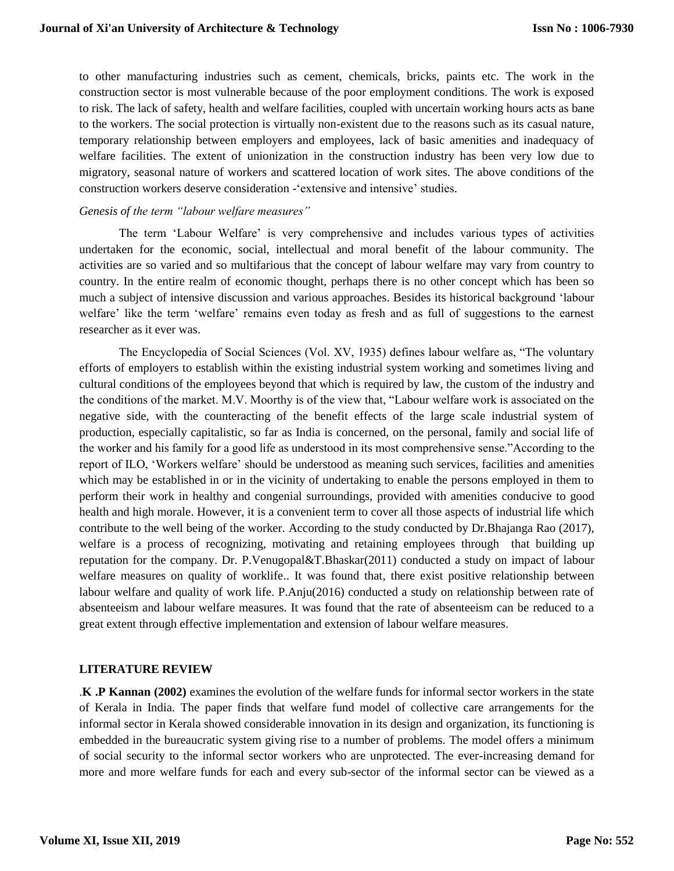to other manufacturing industries such as cement, chemicals, bricks, paints etc. The work in the construction sector is most vulnerable because of the poor employment conditions. The work is exposed to risk. The lack of safety, health and welfare facilities, coupled with uncertain working hours acts as bane to the workers. The social protection is virtually non-existent due to the reasons such as its casual nature, temporary relationship between employers and employees, lack of basic amenities and inadequacy of welfare facilities. The extent of unionization in the construction industry has been very low due to migratory, seasonal nature of workers and scattered location of work sites. The above conditions of the construction workers deserve consideration -'extensive and intensive' studies.

#### *Genesis of the term "labour welfare measures"*

The term 'Labour Welfare' is very comprehensive and includes various types of activities undertaken for the economic, social, intellectual and moral benefit of the labour community. The activities are so varied and so multifarious that the concept of labour welfare may vary from country to country. In the entire realm of economic thought, perhaps there is no other concept which has been so much a subject of intensive discussion and various approaches. Besides its historical background 'labour welfare' like the term 'welfare' remains even today as fresh and as full of suggestions to the earnest researcher as it ever was.

The Encyclopedia of Social Sciences (Vol. XV, 1935) defines labour welfare as, "The voluntary efforts of employers to establish within the existing industrial system working and sometimes living and cultural conditions of the employees beyond that which is required by law, the custom of the industry and the conditions of the market. M.V. Moorthy is of the view that, "Labour welfare work is associated on the negative side, with the counteracting of the benefit effects of the large scale industrial system of production, especially capitalistic, so far as India is concerned, on the personal, family and social life of the worker and his family for a good life as understood in its most comprehensive sense."According to the report of ILO, 'Workers welfare' should be understood as meaning such services, facilities and amenities which may be established in or in the vicinity of undertaking to enable the persons employed in them to perform their work in healthy and congenial surroundings, provided with amenities conducive to good health and high morale. However, it is a convenient term to cover all those aspects of industrial life which contribute to the well being of the worker. According to the study conducted by Dr.Bhajanga Rao (2017), welfare is a process of recognizing, motivating and retaining employees through that building up reputation for the company. Dr. P.Venugopal&T.Bhaskar(2011) conducted a study on impact of labour welfare measures on quality of worklife.. It was found that, there exist positive relationship between labour welfare and quality of work life. P.Anju(2016) conducted a study on relationship between rate of absenteeism and labour welfare measures. It was found that the rate of absenteeism can be reduced to a great extent through effective implementation and extension of labour welfare measures.

#### **LITERATURE REVIEW**

.**K .P Kannan (2002)** examines the evolution of the welfare funds for informal sector workers in the state of Kerala in India. The paper finds that welfare fund model of collective care arrangements for the informal sector in Kerala showed considerable innovation in its design and organization, its functioning is embedded in the bureaucratic system giving rise to a number of problems. The model offers a minimum of social security to the informal sector workers who are unprotected. The ever-increasing demand for more and more welfare funds for each and every sub-sector of the informal sector can be viewed as a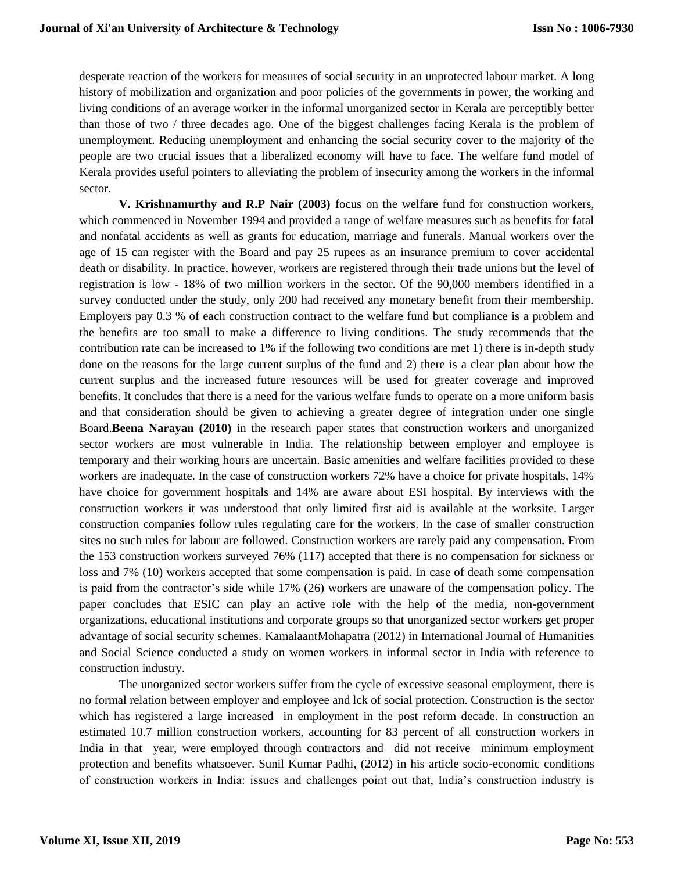desperate reaction of the workers for measures of social security in an unprotected labour market. A long history of mobilization and organization and poor policies of the governments in power, the working and living conditions of an average worker in the informal unorganized sector in Kerala are perceptibly better than those of two / three decades ago. One of the biggest challenges facing Kerala is the problem of unemployment. Reducing unemployment and enhancing the social security cover to the majority of the people are two crucial issues that a liberalized economy will have to face. The welfare fund model of Kerala provides useful pointers to alleviating the problem of insecurity among the workers in the informal sector.

**V. Krishnamurthy and R.P Nair (2003)** focus on the welfare fund for construction workers, which commenced in November 1994 and provided a range of welfare measures such as benefits for fatal and nonfatal accidents as well as grants for education, marriage and funerals. Manual workers over the age of 15 can register with the Board and pay 25 rupees as an insurance premium to cover accidental death or disability. In practice, however, workers are registered through their trade unions but the level of registration is low - 18% of two million workers in the sector. Of the 90,000 members identified in a survey conducted under the study, only 200 had received any monetary benefit from their membership. Employers pay 0.3 % of each construction contract to the welfare fund but compliance is a problem and the benefits are too small to make a difference to living conditions. The study recommends that the contribution rate can be increased to 1% if the following two conditions are met 1) there is in-depth study done on the reasons for the large current surplus of the fund and 2) there is a clear plan about how the current surplus and the increased future resources will be used for greater coverage and improved benefits. It concludes that there is a need for the various welfare funds to operate on a more uniform basis and that consideration should be given to achieving a greater degree of integration under one single Board.**Beena Narayan (2010)** in the research paper states that construction workers and unorganized sector workers are most vulnerable in India. The relationship between employer and employee is temporary and their working hours are uncertain. Basic amenities and welfare facilities provided to these workers are inadequate. In the case of construction workers 72% have a choice for private hospitals, 14% have choice for government hospitals and 14% are aware about ESI hospital. By interviews with the construction workers it was understood that only limited first aid is available at the worksite. Larger construction companies follow rules regulating care for the workers. In the case of smaller construction sites no such rules for labour are followed. Construction workers are rarely paid any compensation. From the 153 construction workers surveyed 76% (117) accepted that there is no compensation for sickness or loss and 7% (10) workers accepted that some compensation is paid. In case of death some compensation is paid from the contractor's side while 17% (26) workers are unaware of the compensation policy. The paper concludes that ESIC can play an active role with the help of the media, non-government organizations, educational institutions and corporate groups so that unorganized sector workers get proper advantage of social security schemes. KamalaantMohapatra (2012) in International Journal of Humanities and Social Science conducted a study on women workers in informal sector in India with reference to construction industry.

The unorganized sector workers suffer from the cycle of excessive seasonal employment, there is no formal relation between employer and employee and lck of social protection. Construction is the sector which has registered a large increased in employment in the post reform decade. In construction an estimated 10.7 million construction workers, accounting for 83 percent of all construction workers in India in that year, were employed through contractors and did not receive minimum employment protection and benefits whatsoever. Sunil Kumar Padhi, (2012) in his article socio-economic conditions of construction workers in India: issues and challenges point out that, India's construction industry is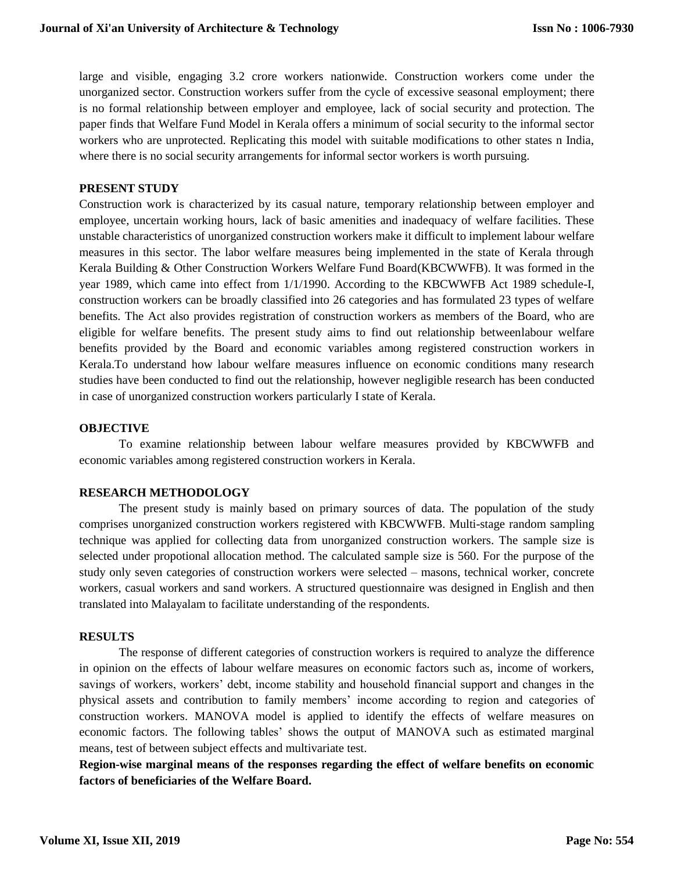large and visible, engaging 3.2 crore workers nationwide. Construction workers come under the unorganized sector. Construction workers suffer from the cycle of excessive seasonal employment; there is no formal relationship between employer and employee, lack of social security and protection. The paper finds that Welfare Fund Model in Kerala offers a minimum of social security to the informal sector workers who are unprotected. Replicating this model with suitable modifications to other states n India, where there is no social security arrangements for informal sector workers is worth pursuing.

#### **PRESENT STUDY**

Construction work is characterized by its casual nature, temporary relationship between employer and employee, uncertain working hours, lack of basic amenities and inadequacy of welfare facilities. These unstable characteristics of unorganized construction workers make it difficult to implement labour welfare measures in this sector. The labor welfare measures being implemented in the state of Kerala through Kerala Building & Other Construction Workers Welfare Fund Board(KBCWWFB). It was formed in the year 1989, which came into effect from 1/1/1990. According to the KBCWWFB Act 1989 schedule-I, construction workers can be broadly classified into 26 categories and has formulated 23 types of welfare benefits. The Act also provides registration of construction workers as members of the Board, who are eligible for welfare benefits. The present study aims to find out relationship betweenlabour welfare benefits provided by the Board and economic variables among registered construction workers in Kerala.To understand how labour welfare measures influence on economic conditions many research studies have been conducted to find out the relationship, however negligible research has been conducted in case of unorganized construction workers particularly I state of Kerala.

#### **OBJECTIVE**

To examine relationship between labour welfare measures provided by KBCWWFB and economic variables among registered construction workers in Kerala.

#### **RESEARCH METHODOLOGY**

The present study is mainly based on primary sources of data. The population of the study comprises unorganized construction workers registered with KBCWWFB. Multi-stage random sampling technique was applied for collecting data from unorganized construction workers. The sample size is selected under propotional allocation method. The calculated sample size is 560. For the purpose of the study only seven categories of construction workers were selected – masons, technical worker, concrete workers, casual workers and sand workers. A structured questionnaire was designed in English and then translated into Malayalam to facilitate understanding of the respondents.

#### **RESULTS**

The response of different categories of construction workers is required to analyze the difference in opinion on the effects of labour welfare measures on economic factors such as, income of workers, savings of workers, workers' debt, income stability and household financial support and changes in the physical assets and contribution to family members' income according to region and categories of construction workers. MANOVA model is applied to identify the effects of welfare measures on economic factors. The following tables' shows the output of MANOVA such as estimated marginal means, test of between subject effects and multivariate test.

**Region-wise marginal means of the responses regarding the effect of welfare benefits on economic factors of beneficiaries of the Welfare Board.**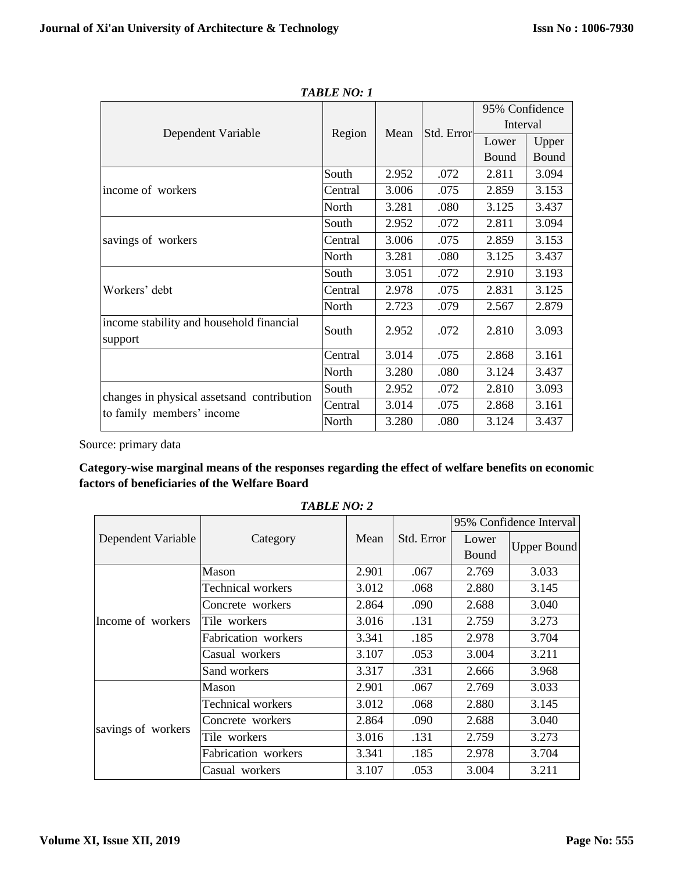|                                                                          | Region  |       |            | 95% Confidence |       |
|--------------------------------------------------------------------------|---------|-------|------------|----------------|-------|
|                                                                          |         | Mean  | Std. Error | Interval       |       |
| Dependent Variable                                                       |         |       |            | Lower          | Upper |
|                                                                          |         |       |            | Bound          | Bound |
|                                                                          | South   | 2.952 | .072       | 2.811          | 3.094 |
| income of workers                                                        | Central | 3.006 | .075       | 2.859          | 3.153 |
|                                                                          | North   | 3.281 | .080       | 3.125          | 3.437 |
|                                                                          | South   | 2.952 | .072       | 2.811          | 3.094 |
| savings of workers                                                       | Central | 3.006 | .075       | 2.859          | 3.153 |
|                                                                          | North   | 3.281 | .080       | 3.125          | 3.437 |
|                                                                          | South   | 3.051 | .072       | 2.910          | 3.193 |
| Workers' debt                                                            | Central | 2.978 | .075       | 2.831          | 3.125 |
|                                                                          | North   | 2.723 | .079       | 2.567          | 2.879 |
| income stability and household financial<br>support                      | South   | 2.952 | .072       | 2.810          | 3.093 |
|                                                                          | Central | 3.014 | .075       | 2.868          | 3.161 |
|                                                                          | North   | 3.280 | .080       | 3.124          | 3.437 |
|                                                                          | South   | 2.952 | .072       | 2.810          | 3.093 |
| changes in physical assets and contribution<br>to family members' income | Central | 3.014 | .075       | 2.868          | 3.161 |
|                                                                          | North   | 3.280 | .080       | 3.124          | 3.437 |

*TABLE NO: 1*

## **Category-wise marginal means of the responses regarding the effect of welfare benefits on economic factors of beneficiaries of the Welfare Board**

|                    |                     |       |            | 95% Confidence Interval |                    |  |
|--------------------|---------------------|-------|------------|-------------------------|--------------------|--|
| Dependent Variable | Category            | Mean  | Std. Error | Lower                   | <b>Upper Bound</b> |  |
|                    |                     |       |            | Bound                   |                    |  |
|                    | Mason               | 2.901 | .067       | 2.769                   | 3.033              |  |
|                    | Technical workers   | 3.012 | .068       | 2.880                   | 3.145              |  |
|                    | Concrete workers    | 2.864 | .090       | 2.688                   | 3.040              |  |
| Income of workers  | Tile workers        | 3.016 | .131       | 2.759                   | 3.273              |  |
|                    | Fabrication workers | 3.341 | .185       | 2.978                   | 3.704              |  |
|                    | Casual workers      | 3.107 | .053       | 3.004                   | 3.211              |  |
|                    | Sand workers        | 3.317 | .331       | 2.666                   | 3.968              |  |
|                    | Mason               | 2.901 | .067       | 2.769                   | 3.033              |  |
| savings of workers | Technical workers   | 3.012 | .068       | 2.880                   | 3.145              |  |
|                    | Concrete workers    | 2.864 | .090       | 2.688                   | 3.040              |  |
|                    | Tile workers        | 3.016 | .131       | 2.759                   | 3.273              |  |
|                    | Fabrication workers | 3.341 | .185       | 2.978                   | 3.704              |  |
|                    | Casual workers      | 3.107 | .053       | 3.004                   | 3.211              |  |

*TABLE NO: 2*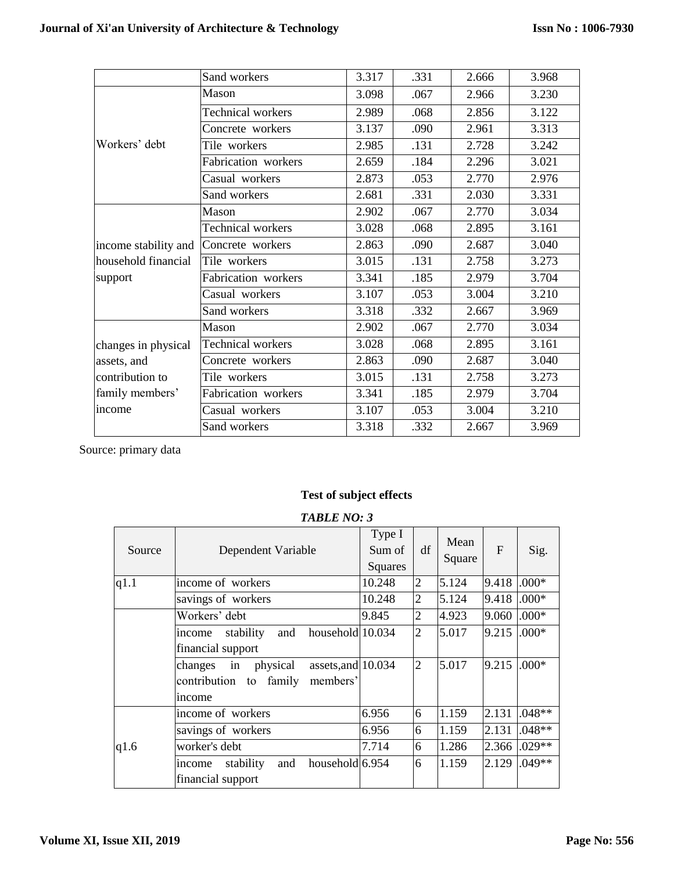|                      | Sand workers             | 3.317 | .331 | 2.666 | 3.968 |
|----------------------|--------------------------|-------|------|-------|-------|
|                      | Mason                    | 3.098 | .067 | 2.966 | 3.230 |
|                      | Technical workers        | 2.989 | .068 | 2.856 | 3.122 |
|                      | Concrete workers         | 3.137 | .090 | 2.961 | 3.313 |
| Workers' debt        | Tile workers             | 2.985 | .131 | 2.728 | 3.242 |
|                      | Fabrication workers      | 2.659 | .184 | 2.296 | 3.021 |
|                      | Casual workers           | 2.873 | .053 | 2.770 | 2.976 |
|                      | Sand workers             | 2.681 | .331 | 2.030 | 3.331 |
|                      | Mason                    | 2.902 | .067 | 2.770 | 3.034 |
|                      | Technical workers        | 3.028 | .068 | 2.895 | 3.161 |
| income stability and | Concrete workers         | 2.863 | .090 | 2.687 | 3.040 |
| household financial  | Tile workers             | 3.015 | .131 | 2.758 | 3.273 |
| support              | Fabrication workers      | 3.341 | .185 | 2.979 | 3.704 |
|                      | Casual workers           | 3.107 | .053 | 3.004 | 3.210 |
|                      | Sand workers             | 3.318 | .332 | 2.667 | 3.969 |
|                      | Mason                    | 2.902 | .067 | 2.770 | 3.034 |
| changes in physical  | <b>Technical workers</b> | 3.028 | .068 | 2.895 | 3.161 |
| assets, and          | Concrete workers         | 2.863 | .090 | 2.687 | 3.040 |
| contribution to      | Tile workers             | 3.015 | .131 | 2.758 | 3.273 |
| family members'      | Fabrication workers      | 3.341 | .185 | 2.979 | 3.704 |
| income               | Casual workers           | 3.107 | .053 | 3.004 | 3.210 |
|                      | Sand workers             | 3.318 | .332 | 2.667 | 3.969 |

## **Test of subject effects**

| Source | Dependent Variable                                                                    | Type I<br>Sum of<br>Squares | df             | Mean<br>Square | $\mathbf{F}$    | Sig.     |
|--------|---------------------------------------------------------------------------------------|-----------------------------|----------------|----------------|-----------------|----------|
| q1.1   | income of workers                                                                     | 10.248                      | $\overline{2}$ | 5.124          | 9.418 .000*     |          |
|        | savings of workers                                                                    | 10.248                      | $\overline{2}$ | 5.124          | 9.418           | $.000*$  |
|        | Workers' debt                                                                         | 9.845                       | $\overline{2}$ | 4.923          | $9.060$ $.000*$ |          |
|        | household 10.034<br>stability<br>and<br>income                                        |                             | $\overline{2}$ | 5.017          | 9.215           | $.000*$  |
|        | financial support                                                                     |                             |                |                |                 |          |
|        | assets, and 10.034<br>changes<br>physical<br>in<br>members'<br>contribution<br>family |                             | $\overline{2}$ | 5.017          | 9.215           | $.000*$  |
|        | to<br>income                                                                          |                             |                |                |                 |          |
|        | income of workers                                                                     | 6.956                       | 6              | 1.159          | 2.131           | $.048**$ |
|        | savings of workers                                                                    | 6.956                       | 6              | 1.159          | 2.131           | $.048**$ |
| q1.6   | worker's debt                                                                         | 7.714                       | 6              | 1.286          | 2.366           | $.029**$ |
|        | household $6.954$<br>stability<br>and<br>income<br>financial support                  |                             | 6              | 1.159          | 2.129           | $.049**$ |

#### *TABLE NO: 3*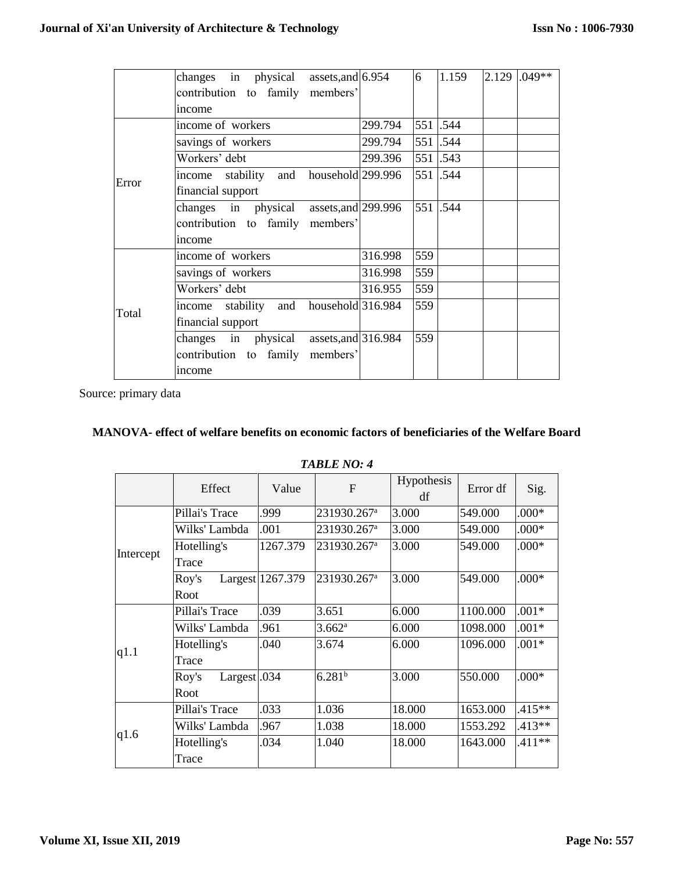|       | changes in physical assets, and $6.954$           |         | 6   | 1.159    | $2.129$ .049** |
|-------|---------------------------------------------------|---------|-----|----------|----------------|
|       | contribution to family members'                   |         |     |          |                |
|       | income                                            |         |     |          |                |
|       | income of workers                                 | 299.794 |     | 551 .544 |                |
|       | savings of workers                                | 299.794 |     | 551 .544 |                |
|       | Workers' debt                                     | 299.396 |     | 551 .543 |                |
| Error | income stability and household 299.996            |         |     | 551.544  |                |
|       | financial support                                 |         |     |          |                |
|       | changes in physical assets, and 299.996           |         |     | 551 .544 |                |
|       | contribution to family members'                   |         |     |          |                |
|       | income                                            |         |     |          |                |
|       | income of workers                                 | 316.998 | 559 |          |                |
|       | savings of workers                                | 316.998 | 559 |          |                |
|       | Workers' debt                                     | 316.955 | 559 |          |                |
| Total | household $316.984$<br>and<br>stability<br>income |         | 559 |          |                |
|       | financial support                                 |         |     |          |                |
|       | changes in physical assets, and 316.984           |         | 559 |          |                |
|       | contribution to family members'                   |         |     |          |                |
|       | income                                            |         |     |          |                |

## **MANOVA- effect of welfare benefits on economic factors of beneficiaries of the Welfare Board**

| <b>TABLE NO: 4</b> |  |  |
|--------------------|--|--|
|--------------------|--|--|

|           | Effect                           | Value            | $\mathbf{F}$            | Hypothesis<br>df | Error df | Sig.     |
|-----------|----------------------------------|------------------|-------------------------|------------------|----------|----------|
|           | Pillai's Trace                   | .999             | 231930.267 <sup>a</sup> | 3.000            | 549.000  | $.000*$  |
|           | Wilks' Lambda                    | .001             | 231930.267 <sup>a</sup> | 3.000            | 549.000  | $.000*$  |
| Intercept | Hotelling's                      | 1267.379         | 231930.267 <sup>a</sup> | 3.000            | 549.000  | $.000*$  |
|           | Trace                            |                  |                         |                  |          |          |
|           | Roy's                            | Largest 1267.379 | 231930.267 <sup>a</sup> | 3.000            | 549.000  | $.000*$  |
|           | Root                             |                  |                         |                  |          |          |
|           | Pillai's Trace                   | .039             | 3.651                   | 6.000            | 1100.000 | $.001*$  |
|           | Wilks' Lambda                    | .961             | $3.662^{\rm a}$         | 6.000            | 1098.000 | $.001*$  |
| q1.1      | Hotelling's                      | .040             | 3.674                   | 6.000            | 1096.000 | $.001*$  |
|           | Trace                            |                  |                         |                  |          |          |
|           | Largest <sub>.034</sub><br>Roy's |                  | 6.281 <sup>b</sup>      | 3.000            | 550.000  | $.000*$  |
|           | Root                             |                  |                         |                  |          |          |
|           | Pillai's Trace                   | .033             | 1.036                   | 18.000           | 1653.000 | $.415**$ |
| q1.6      | Wilks' Lambda                    | .967             | 1.038                   | 18.000           | 1553.292 | $.413**$ |
|           | Hotelling's<br>Trace             | .034             | 1.040                   | 18.000           | 1643.000 | $.411**$ |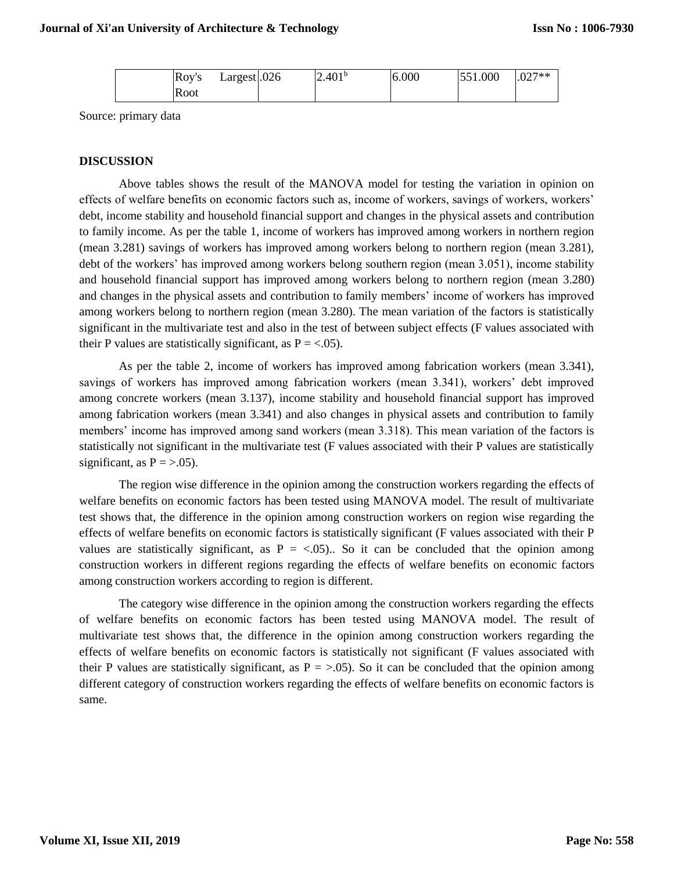|  | Rov's | Largest $.026$ | (2.401 <sup>b</sup> ) | 6.000 | 551.000 | $.027**$ |
|--|-------|----------------|-----------------------|-------|---------|----------|
|  | Root  |                |                       |       |         |          |

#### **DISCUSSION**

Above tables shows the result of the MANOVA model for testing the variation in opinion on effects of welfare benefits on economic factors such as, income of workers, savings of workers, workers' debt, income stability and household financial support and changes in the physical assets and contribution to family income. As per the table 1, income of workers has improved among workers in northern region (mean 3.281) savings of workers has improved among workers belong to northern region (mean 3.281), debt of the workers' has improved among workers belong southern region (mean 3.051), income stability and household financial support has improved among workers belong to northern region (mean 3.280) and changes in the physical assets and contribution to family members' income of workers has improved among workers belong to northern region (mean 3.280). The mean variation of the factors is statistically significant in the multivariate test and also in the test of between subject effects (F values associated with their P values are statistically significant, as  $P = <.05$ ).

As per the table 2, income of workers has improved among fabrication workers (mean 3.341), savings of workers has improved among fabrication workers (mean 3.341), workers' debt improved among concrete workers (mean 3.137), income stability and household financial support has improved among fabrication workers (mean 3.341) and also changes in physical assets and contribution to family members' income has improved among sand workers (mean 3.318). This mean variation of the factors is statistically not significant in the multivariate test (F values associated with their P values are statistically significant, as  $P = >.05$ ).

The region wise difference in the opinion among the construction workers regarding the effects of welfare benefits on economic factors has been tested using MANOVA model. The result of multivariate test shows that, the difference in the opinion among construction workers on region wise regarding the effects of welfare benefits on economic factors is statistically significant (F values associated with their P values are statistically significant, as  $P = \langle .05 \rangle$ . So it can be concluded that the opinion among construction workers in different regions regarding the effects of welfare benefits on economic factors among construction workers according to region is different.

The category wise difference in the opinion among the construction workers regarding the effects of welfare benefits on economic factors has been tested using MANOVA model. The result of multivariate test shows that, the difference in the opinion among construction workers regarding the effects of welfare benefits on economic factors is statistically not significant (F values associated with their P values are statistically significant, as  $P = > .05$ ). So it can be concluded that the opinion among different category of construction workers regarding the effects of welfare benefits on economic factors is same.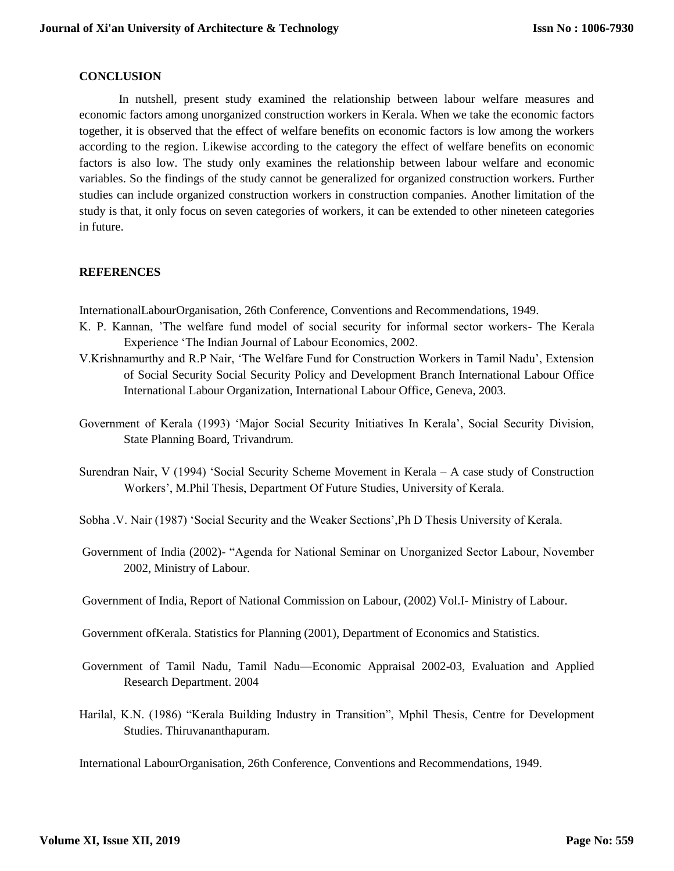#### **CONCLUSION**

In nutshell, present study examined the relationship between labour welfare measures and economic factors among unorganized construction workers in Kerala. When we take the economic factors together, it is observed that the effect of welfare benefits on economic factors is low among the workers according to the region. Likewise according to the category the effect of welfare benefits on economic factors is also low. The study only examines the relationship between labour welfare and economic variables. So the findings of the study cannot be generalized for organized construction workers. Further studies can include organized construction workers in construction companies. Another limitation of the study is that, it only focus on seven categories of workers, it can be extended to other nineteen categories in future.

## **REFERENCES**

InternationalLabourOrganisation, 26th Conference, Conventions and Recommendations, 1949.

- K. P. Kannan, 'The welfare fund model of social security for informal sector workers- The Kerala Experience 'The Indian Journal of Labour Economics, 2002.
- V.Krishnamurthy and R.P Nair, 'The Welfare Fund for Construction Workers in Tamil Nadu', Extension of Social Security Social Security Policy and Development Branch International Labour Office International Labour Organization, International Labour Office, Geneva, 2003.
- Government of Kerala (1993) 'Major Social Security Initiatives In Kerala', Social Security Division, State Planning Board, Trivandrum.
- Surendran Nair, V (1994) 'Social Security Scheme Movement in Kerala A case study of Construction Workers', M.Phil Thesis, Department Of Future Studies, University of Kerala.
- Sobha .V. Nair (1987) 'Social Security and the Weaker Sections',Ph D Thesis University of Kerala.
- Government of India (2002)- "Agenda for National Seminar on Unorganized Sector Labour, November 2002, Ministry of Labour.
- Government of India, Report of National Commission on Labour, (2002) Vol.I- Ministry of Labour.
- Government ofKerala. Statistics for Planning (2001), Department of Economics and Statistics.
- Government of Tamil Nadu, Tamil Nadu—Economic Appraisal 2002-03, Evaluation and Applied Research Department. 2004
- Harilal, K.N. (1986) "Kerala Building Industry in Transition", Mphil Thesis, Centre for Development Studies. Thiruvananthapuram.

International LabourOrganisation, 26th Conference, Conventions and Recommendations, 1949.